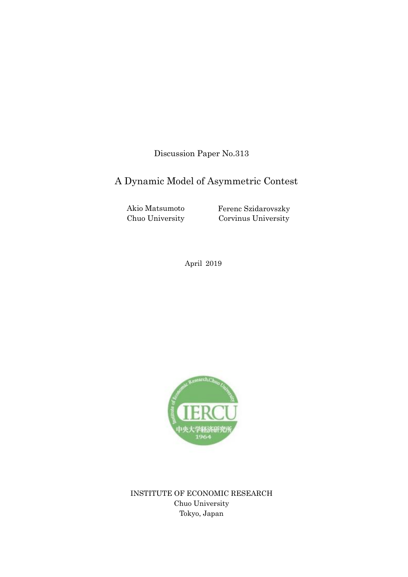Discussion Paper No.313

# A Dynamic Model of Asymmetric Contest

Akio Matsumoto Chuo University Ferenc Szidarovszky Corvinus University

April 2019



INSTITUTE OF ECONOMIC RESEARCH Chuo University Tokyo, Japan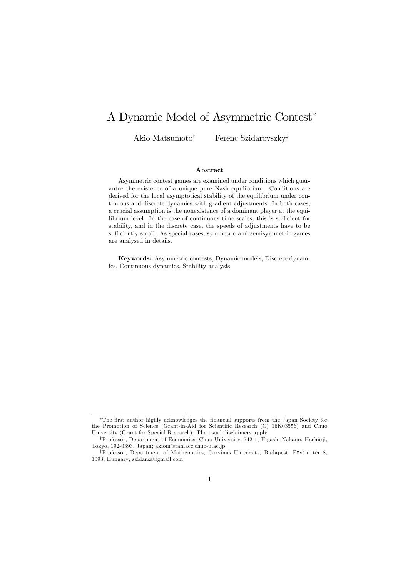## A Dynamic Model of Asymmetric Contest<sup>∗</sup>

Akio Matsumoto† Ferenc Szidarovszky‡

#### Abstract

Asymmetric contest games are examined under conditions which guarantee the existence of a unique pure Nash equilibrium. Conditions are derived for the local asymptotical stability of the equilibrium under continuous and discrete dynamics with gradient adjustments. In both cases, a crucial assumption is the nonexistence of a dominant player at the equilibrium level. In the case of continuous time scales, this is sufficient for stability, and in the discrete case, the speeds of adjustments have to be sufficiently small. As special cases, symmetric and semisymmetric games are analysed in details.

Keywords: Asymmetric contests, Dynamic models, Discrete dynamics, Continuous dynamics, Stability analysis

<sup>∗</sup>The first author highly acknowledges the financial supports from the Japan Society for the Promotion of Science (Grant-in-Aid for Scientific Research (C) 16K03556) and Chuo University (Grant for Special Research). The usual disclaimers apply.

<sup>†</sup>Professor, Department of Economics, Chuo University, 742-1, Higashi-Nakano, Hachio ji, Tokyo, 192-0393, Japan; akiom@tamacc.chuo-u.ac.jp

<sup>‡</sup>Professor, Department of Mathematics, Corvinus University, Budapest, Fövám tér 8, 1093, Hungary; szidarka@gmail.com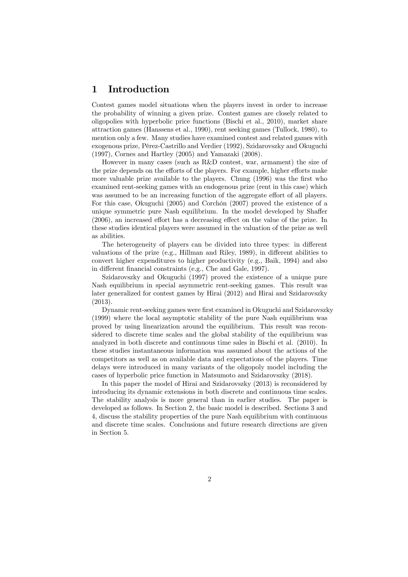### 1 Introduction

Contest games model situations when the players invest in order to increase the probability of winning a given prize. Contest games are closely related to oligopolies with hyperbolic price functions (Bischi et al., 2010), market share attraction games (Hanssens et al., 1990), rent seeking games (Tullock, 1980), to mention only a few. Many studies have examined contest and related games with exogenous prize, Pérez-Castrillo and Verdier (1992), Szidarovszky and Okuguchi (1997), Cornes and Hartley (2005) and Yamazaki (2008).

However in many cases (such as R&D contest, war, armament) the size of the prize depends on the efforts of the players. For example, higher efforts make more valuable prize available to the players. Chung (1996) was the first who examined rent-seeking games with an endogenous prize (rent in this case) which was assumed to be an increasing function of the aggregate effort of all players. For this case, Okuguchi (2005) and Corchón (2007) proved the existence of a unique symmetric pure Nash equilibrium. In the model developed by Shaffer (2006), an increased effort has a decreasing effect on the value of the prize. In these studies identical players were assumed in the valuation of the prize as well as abilities.

The heterogeneity of players can be divided into three types: in different valuations of the prize (e.g., Hillman and Riley, 1989), in different abilities to convert higher expenditures to higher productivity (e.g., Baik, 1994) and also in different financial constraints (e.g., Che and Gale, 1997).

Szidarovszky and Okuguchi (1997) proved the existence of a unique pure Nash equilibrium in special asymmetric rent-seeking games. This result was later generalized for contest games by Hirai (2012) and Hirai and Szidarovszky (2013).

Dynamic rent-seeking games were first examined in Okuguchi and Szidarovszky (1999) where the local asymptotic stability of the pure Nash equilibrium was proved by using linearization around the equilibrium. This result was reconsidered to discrete time scales and the global stability of the equilibrium was analyzed in both discrete and continuous time sales in Bischi et al. (2010). In these studies instantaneous information was assumed about the actions of the competitors as well as on available data and expectations of the players. Time delays were introduced in many variants of the oligopoly model including the cases of hyperbolic price function in Matsumoto and Szidarovszky (2018).

In this paper the model of Hirai and Szidarovszky (2013) is reconsidered by introducing its dynamic extensions in both discrete and continuous time scales. The stability analysis is more general than in earlier studies. The paper is developed as follows. In Section 2, the basic model is described. Sections 3 and 4, discuss the stability properties of the pure Nash equilibrium with continuous and discrete time scales. Conclusions and future research directions are given in Section 5.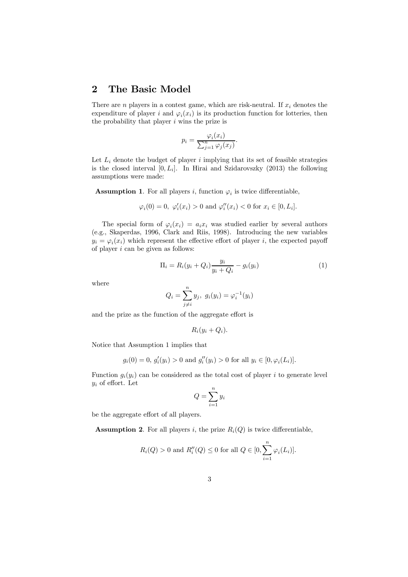#### 2 The Basic Model

There are *n* players in a contest game, which are risk-neutral. If  $x_i$  denotes the expenditure of player i and  $\varphi_i(x_i)$  is its production function for lotteries, then the probability that player  $i$  wins the prize is

$$
p_i = \frac{\varphi_i(x_i)}{\sum_{j=1}^n \varphi_j(x_j)}.
$$

Let  $L_i$  denote the budget of player i implying that its set of feasible strategies is the closed interval  $[0, L_i]$ . In Hirai and Szidarovszky (2013) the following assumptions were made:

**Assumption 1.** For all players i, function  $\varphi_i$  is twice differentiable,

$$
\varphi_i(0) = 0, \ \varphi'_i(x_i) > 0 \text{ and } \varphi''_i(x_i) < 0 \text{ for } x_i \in [0, L_i].
$$

The special form of  $\varphi_i(x_i) = a_i x_i$  was studied earlier by several authors (e.g., Skaperdas, 1996, Clark and Riis, 1998). Introducing the new variables  $y_i = \varphi_i(x_i)$  which represent the effective effort of player i, the expected payoff of player  $i$  can be given as follows:

$$
\Pi_i = R_i(y_i + Q_i) \frac{y_i}{y_i + Q_i} - g_i(y_i)
$$
\n(1)

where

$$
Q_i = \sum_{j \neq i}^{n} y_j, \ g_i(y_i) = \varphi_i^{-1}(y_i)
$$

and the prize as the function of the aggregate effort is

$$
R_i(y_i + Q_i).
$$

Notice that Assumption 1 implies that

$$
g_i(0) = 0, g'_i(y_i) > 0
$$
 and  $g''_i(y_i) > 0$  for all  $y_i \in [0, \varphi_i(L_i)]$ .

Function  $g_i(y_i)$  can be considered as the total cost of player i to generate level  $y_i$  of effort. Let

$$
Q = \sum_{i=1}^{n} y_i
$$

be the aggregate effort of all players.

**Assumption 2.** For all players i, the prize  $R_i(Q)$  is twice differentiable,

$$
R_i(Q) > 0
$$
 and  $R''_i(Q) \le 0$  for all  $Q \in [0, \sum_{i=1}^n \varphi_i(L_i)].$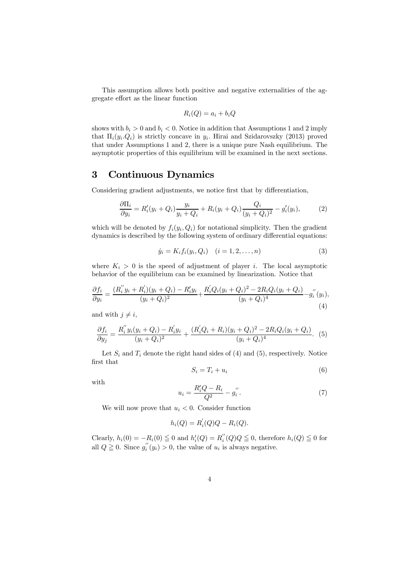This assumption allows both positive and negative externalities of the aggregate effort as the linear function

$$
R_i(Q) = a_i + b_i Q
$$

shows with  $b_i > 0$  and  $b_i < 0$ . Notice in addition that Assumptions 1 and 2 imply that  $\Pi_i(y_i, Q_i)$  is strictly concave in  $y_i$ . Hirai and Szidarovszky (2013) proved that under Assumptions 1 and 2, there is a unique pure Nash equilibrium. The asymptotic properties of this equilibrium will be examined in the next sections.

#### 3 Continuous Dynamics

Considering gradient adjustments, we notice first that by differentiation,

$$
\frac{\partial \Pi_i}{\partial y_i} = R'_i(y_i + Q_i) \frac{y_i}{y_i + Q_i} + R_i(y_i + Q_i) \frac{Q_i}{(y_i + Q_i)^2} - g'_i(y_i),\tag{2}
$$

which will be denoted by  $f_i(y_i, Q_i)$  for notational simplicity. Then the gradient dynamics is described by the following system of ordinary differential equations:

$$
\dot{y}_i = K_i f_i(y_i, Q_i) \quad (i = 1, 2, \dots, n)
$$
\n(3)

where  $K_i > 0$  is the speed of adjustment of player i. The local asymptotic behavior of the equilibrium can be examined by linearization. Notice that

$$
\frac{\partial f_i}{\partial y_i} = \frac{(R_i'' y_i + R_i')(y_i + Q_i) - R_i' y_i}{(y_i + Q_i)^2} + \frac{R_i' Q_i (y_i + Q_i)^2 - 2R_i Q_i (y_i + Q_i)}{(y_i + Q_i)^4} - g_i''(y_i),\tag{4}
$$

and with  $j \neq i$ ,

$$
\frac{\partial f_i}{\partial y_j} = \frac{R_i'' y_i (y_i + Q_i) - R_i' y_i}{(y_i + Q_i)^2} + \frac{(R_i' Q_i + R_i)(y_i + Q_i)^2 - 2R_i Q_i (y_i + Q_i)}{(y_i + Q_i)^4}.
$$
 (5)

Let  $S_i$  and  $T_i$  denote the right hand sides of (4) and (5), respectively. Notice first that

$$
S_i = T_i + u_i \tag{6}
$$

with

$$
u_i = \frac{R'_i Q - R_i}{Q^2} - g''_i.
$$
 (7)

We will now prove that  $u_i < 0$ . Consider function

$$
h_i(Q) = R_i^{'}(Q)Q - R_i(Q).
$$

Clearly,  $h_i(0) = -R_i(0) \leq 0$  and  $h'_i(Q) = R''_i$  $i'_{i}(Q)Q \leq 0$ , therefore  $h_i(Q) \leq 0$  for all  $Q \geq 0$ . Since  $g_i''$  $i(y_i) > 0$ , the value of  $u_i$  is always negative.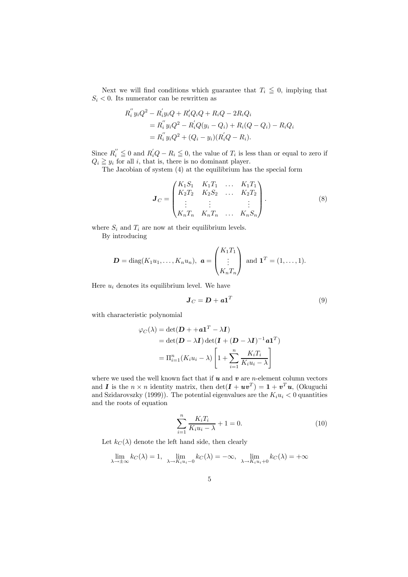Next we will find conditions which guarantee that  $T_i \leq 0$ , implying that  $S_i < 0$ . Its numerator can be rewritten as

$$
R_i'' y_i Q^2 - R_i' y_i Q + R_i' Q_i Q + R_i Q - 2R_i Q_i
$$
  
= 
$$
R_i'' y_i Q^2 - R_i' Q (y_i - Q_i) + R_i (Q - Q_i) - R_i Q_i
$$
  
= 
$$
R_i'' y_i Q^2 + (Q_i - y_i) (R_i' Q - R_i).
$$

Since  $R_i'' \leq 0$  and  $R_i'Q - R_i \leq 0$ , the value of  $T_i$  is less than or equal to zero if  $Q_i \geq y_i$  for all i, that is, there is no dominant player.

The Jacobian of system (4) at the equilibrium has the special form

$$
\mathbf{J}_C = \begin{pmatrix} K_1 S_1 & K_1 T_1 & \dots & K_1 T_1 \\ K_2 T_2 & K_2 S_2 & \dots & K_2 T_2 \\ \vdots & \vdots & & \vdots \\ K_n T_n & K_n T_n & \dots & K_n S_n \end{pmatrix} . \tag{8}
$$

where  $S_i$  and  $T_i$  are now at their equilibrium levels. By introducing

$$
\mathbf{D} = \text{diag}(K_1u_1,\ldots,K_nu_n), \ \mathbf{a} = \begin{pmatrix} K_1T_1 \\ \vdots \\ K_nT_n \end{pmatrix} \text{ and } \mathbf{1}^T = (1,\ldots,1).
$$

Here  $u_i$  denotes its equilibrium level. We have

$$
\boldsymbol{J}_C = \boldsymbol{D} + \boldsymbol{a}\boldsymbol{1}^T \tag{9}
$$

with characteristic polynomial

$$
\varphi_C(\lambda) = \det(\mathbf{D} + +\mathbf{a}\mathbf{1}^T - \lambda \mathbf{I})
$$
  
= 
$$
\det(\mathbf{D} - \lambda \mathbf{I}) \det(\mathbf{I} + (\mathbf{D} - \lambda \mathbf{I})^{-1}\mathbf{a}\mathbf{1}^T)
$$
  
= 
$$
\Pi_{i=1}^n (K_i u_i - \lambda) \left[1 + \sum_{i=1}^n \frac{K_i T_i}{K_i u_i - \lambda}\right]
$$

where we used the well known fact that if  $u$  and  $v$  are *n*-element column vectors and **I** is the  $n \times n$  identity matrix, then  $\det(\mathbf{I} + \boldsymbol{u}\boldsymbol{v}^T) = \mathbf{1} + \boldsymbol{v}^T\boldsymbol{u}$ , (Okuguchi and Szidarovszky (1999)). The potential eigenvalues are the  $K_iu_i < 0$  quantities and the roots of equation

$$
\sum_{i=1}^{n} \frac{K_i T_i}{K_i u_i - \lambda} + 1 = 0.
$$
 (10)

Let  $k_C(\lambda)$  denote the left hand side, then clearly

$$
\lim_{\lambda \to \pm \infty} k_C(\lambda) = 1, \quad \lim_{\lambda \to K_i u_i - 0} k_C(\lambda) = -\infty, \quad \lim_{\lambda \to K_i u_i + 0} k_C(\lambda) = +\infty
$$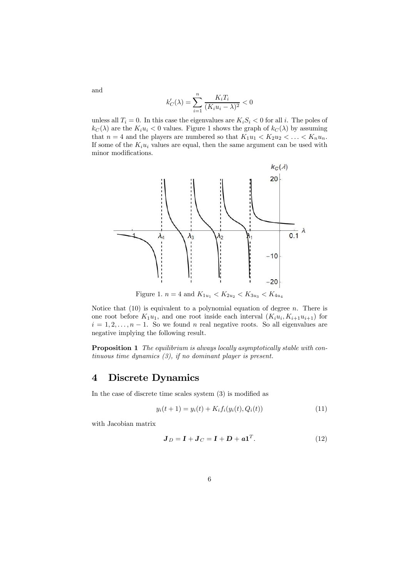$$
k_C'(\lambda) = \sum_{i=1}^n \frac{K_i T_i}{(K_i u_i - \lambda)^2} < 0
$$

unless all  $T_i = 0$ . In this case the eigenvalues are  $K_i S_i < 0$  for all i. The poles of  $k_C(\lambda)$  are the  $K_iu_i < 0$  values. Figure 1 shows the graph of  $k_C(\lambda)$  by assuming that  $n = 4$  and the players are numbered so that  $K_1u_1 < K_2u_2 < \ldots < K_nu_n$ . If some of the  $K_i u_i$  values are equal, then the same argument can be used with minor modifications.



Figure 1.  $n = 4$  and  $K_{1u_1} < K_{2u_2} < K_{3u_3} < K_{4u_4}$ 

Notice that  $(10)$  is equivalent to a polynomial equation of degree *n*. There is one root before  $K_1u_1$ , and one root inside each interval  $(K_iu_i, K_{i+1}u_{i+1})$  for  $i = 1, 2, \ldots, n - 1$ . So we found n real negative roots. So all eigenvalues are negative implying the following result.

Proposition 1 *The equilibrium is always locally asymptotically stable with continuous time dynamics (3), if no dominant player is present.*

#### 4 Discrete Dynamics

In the case of discrete time scales system (3) is modified as

$$
y_i(t+1) = y_i(t) + K_i f_i(y_i(t), Q_i(t))
$$
\n(11)

with Jacobian matrix

and

$$
\mathbf{J}_D = \mathbf{I} + \mathbf{J}_C = \mathbf{I} + \mathbf{D} + \mathbf{a}\mathbf{1}^T. \tag{12}
$$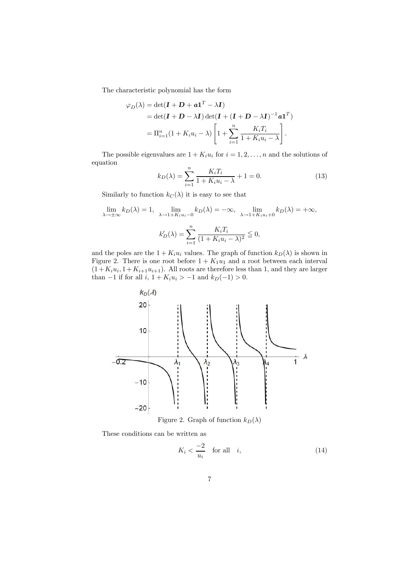The characteristic polynomial has the form

$$
\varphi_D(\lambda) = \det(\mathbf{I} + \mathbf{D} + \mathbf{a}\mathbf{1}^T - \lambda \mathbf{I})
$$
  
= 
$$
\det(\mathbf{I} + \mathbf{D} - \lambda \mathbf{I}) \det(\mathbf{I} + (\mathbf{I} + \mathbf{D} - \lambda \mathbf{I})^{-1} \mathbf{a}\mathbf{1}^T)
$$
  
= 
$$
\Pi_{i=1}^n (1 + K_i u_i - \lambda) \left[ 1 + \sum_{i=1}^n \frac{K_i T_i}{1 + K_i u_i - \lambda} \right].
$$

The possible eigenvalues are  $1 + K_i u_i$  for  $i = 1, 2, ..., n$  and the solutions of equation

$$
k_D(\lambda) = \sum_{i=1}^n \frac{K_i T_i}{1 + K_i u_i - \lambda} + 1 = 0.
$$
 (13)

Similarly to function  $k_C(\lambda)$  it is easy to see that

$$
\lim_{\lambda \to \pm \infty} k_D(\lambda) = 1, \quad \lim_{\lambda \to 1 + K_i u_i = 0} k_D(\lambda) = -\infty, \quad \lim_{\lambda \to 1 + K_i u_i + 0} k_D(\lambda) = +\infty,
$$

$$
k'_D(\lambda) = \sum_{i=1}^n \frac{K_i T_i}{(1 + K_i u_i - \lambda)^2} \leq 0,
$$

and the poles are the  $1 + K_i u_i$  values. The graph of function  $k_D(\lambda)$  is shown in Figure 2. There is one root before  $1 + K_1u_1$  and a root between each interval  $(1 + K_i u_i, 1 + K_{i+1} u_{i+1})$ . All roots are therefore less than 1, and they are larger than −1 if for all  $i, 1 + K_i u_i > -1$  and  $k_D(-1) > 0$ .



Figure 2. Graph of function  $k_D(\lambda)$ 

These conditions can be written as

$$
K_i < \frac{-2}{u_i} \quad \text{for all} \quad i,\tag{14}
$$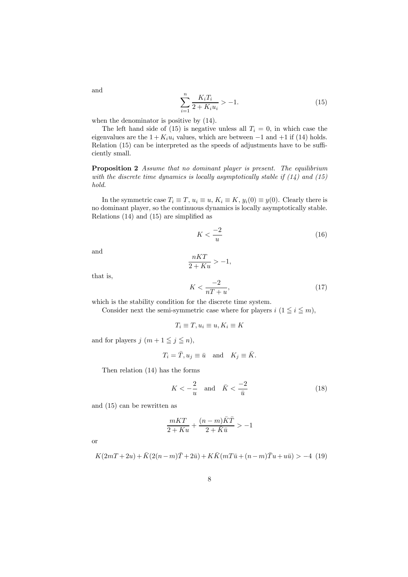$$
\sum_{i=1}^{n} \frac{K_i T_i}{2 + K_i u_i} > -1.
$$
\n(15)

when the denominator is positive by  $(14)$ .

The left hand side of (15) is negative unless all  $T_i = 0$ , in which case the eigenvalues are the  $1 + K_i u_i$  values, which are between  $-1$  and  $+1$  if (14) holds. Relation (15) can be interpreted as the speeds of adjustments have to be sufficiently small.

Proposition 2 *Assume that no dominant player is present. The equilibrium with the discrete time dynamics is locally asymptotically stable if (14) and (15) hold.*

In the symmetric case  $T_i \equiv T, u_i \equiv u, K_i \equiv K, y_i(0) \equiv y(0)$ . Clearly there is no dominant player, so the continuous dynamics is locally asymptotically stable. Relations (14) and (15) are simplified as

$$
K < \frac{-2}{u} \tag{16}
$$

and

$$
\frac{nKT}{2+Ku} > -1,
$$
\n
$$
K < \frac{-2}{nT+u},\tag{17}
$$

that is,

which is the stability condition for the discrete time system.

Consider next the semi-symmetric case where for players  $i$  ( $1 \leq i \leq m$ ),

$$
T_i \equiv T, u_i \equiv u, K_i \equiv K
$$

and for players  $j$   $(m + 1 \leq j \leq n)$ ,

$$
T_i = \bar{T}, u_j \equiv \bar{u} \quad \text{and} \quad K_j \equiv \bar{K}.
$$

Then relation (14) has the forms

$$
K < -\frac{2}{u} \quad \text{and} \quad \bar{K} < \frac{-2}{\bar{u}} \tag{18}
$$

and (15) can be rewritten as

$$
\frac{mKT}{2+Ku}+\frac{(n-m)\bar{K}\bar{T}}{2+\bar{K}\bar{u}}>-1
$$

or

$$
K(2mT + 2u) + \bar{K}(2(n-m)\bar{T} + 2\bar{u}) + K\bar{K}(mT\bar{u} + (n-m)\bar{T}u + u\bar{u}) > -4
$$
 (19)

and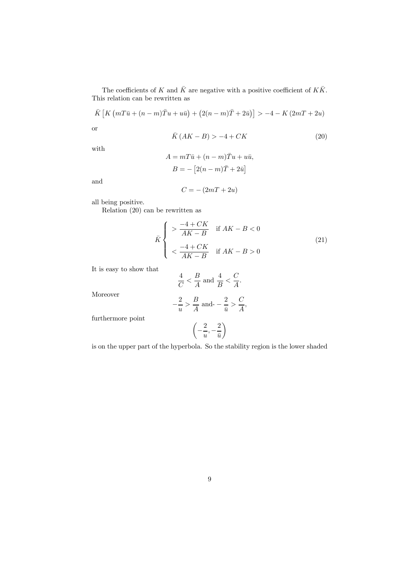The coefficients of  $K$  and  $\bar{K}$  are negative with a positive coefficient of  $K\bar{K}.$ This relation can be rewritten as

$$
\overline{K}\left[K\left(mT\overline{u}+(n-m)\overline{T}u+u\overline{u}\right)+\left(2(n-m)\overline{T}+2\overline{u}\right)\right]>-4-K\left(2mT+2u\right)
$$
 or

$$
\bar{K}(AK - B) > -4 + CK \tag{20}
$$

with

$$
A = mT\bar{u} + (n - m)\bar{T}u + u\bar{u},
$$

$$
B = -[2(n - m)\bar{T} + 2\bar{u}]
$$

and

$$
C = -\left(2mT + 2u\right)
$$

all being positive.

Relation (20) can be rewritten as

$$
\bar{K} \begin{cases}\n> \frac{-4 + CK}{AK - B} & \text{if } AK - B < 0 \\
< \frac{-4 + CK}{AK - B} & \text{if } AK - B > 0\n\end{cases}
$$
\n(21)

It is easy to show that

$$
\frac{4}{C} < \frac{B}{A} \text{ and } \frac{4}{B} < \frac{C}{A}.
$$

Moreover

$$
-\frac{2}{u} > \frac{B}{A}
$$
 and 
$$
-\frac{2}{\bar{u}} > \frac{C}{A},
$$

furthermore point

$$
\left(-\frac{2}{u},-\frac{2}{\bar{u}}\right)
$$

is on the upper part of the hyperbola. So the stability region is the lower shaded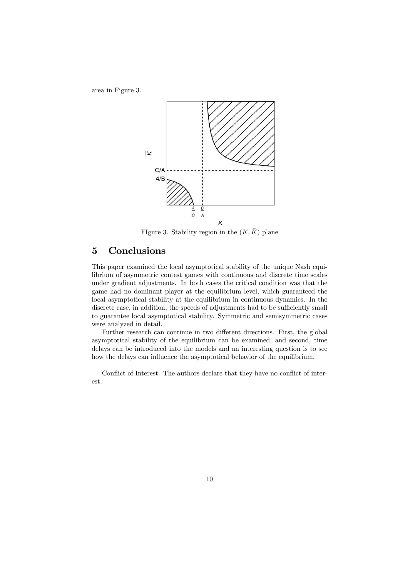area in Figure 3.



FIgure 3. Stability region in the  $(K, \overline{K})$  plane

## 5 Conclusions

This paper examined the local asymptotical stability of the unique Nash equilibrium of asymmetric contest games with continuous and discrete time scales under gradient adjustments. In both cases the critical condition was that the game had no dominant player at the equilibrium level, which guaranteed the local asymptotical stability at the equilibrium in continuous dynamics. In the discrete case, in addition, the speeds of adjustments had to be sufficiently small to guarantee local asymptotical stability. Symmetric and semisymmetric cases were analyzed in detail.

Further research can continue in two different directions. First, the global asymptotical stability of the equilibrium can be examined, and second, time delays can be introduced into the models and an interesting question is to see how the delays can influence the asymptotical behavior of the equilibrium.

Conflict of Interest: The authors declare that they have no conflict of interest.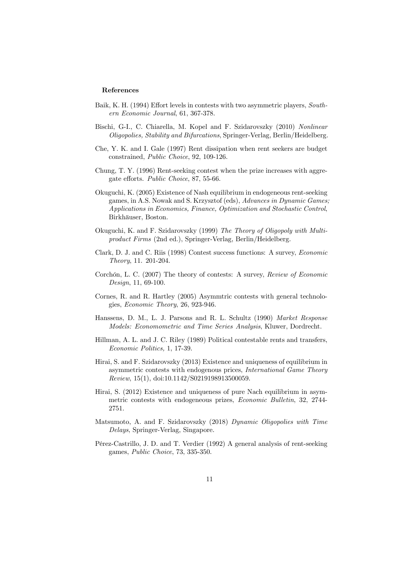#### References

- Baik, K. H. (1994) Effort levels in contests with two asymmetric players, *Southern Economic Journal*, 61, 367-378.
- Bischi, G-I., C. Chiarella, M. Kopel and F. Szidarovszky (2010) *Nonlinear Oligopolies, Stability and Bifurcations*, Springer-Verlag, Berlin/Heidelberg.
- Che, Y. K. and I. Gale (1997) Rent dissipation when rent seekers are budget constrained, *Public Choice*, 92, 109-126.
- Chung, T. Y. (1996) Rent-seeking contest when the prize increases with aggregate efforts. *Public Choice*, 87, 55-66.
- Okuguchi, K. (2005) Existence of Nash equilibrium in endogeneous rent-seeking games, in A.S. Nowak and S. Krzysztof (eds), *Advances in Dynamic Games; Applications in Economics, Finance, Optimization and Stochastic Control*, Birkhäuser, Boston.
- Okuguchi, K. and F. Szidarovszky (1999) *The Theory of Oligopoly with Multiproduct Firms* (2nd ed.), Springer-Verlag, Berlin/Heidelberg.
- Clark, D. J. and C. Riis (1998) Contest success functions: A survey, *Economic Theory*, 11. 201-204.
- Corchón, L. C. (2007) The theory of contests: A survey, *Review of Economic Design*, 11, 69-100.
- Cornes, R. and R. Hartley (2005) Asymmtric contests with general technologies, *Economic Theory*, 26, 923-946.
- Hanssens, D. M., L. J. Parsons and R. L. Schultz (1990) *Market Response Models: Economometric and Time Series Analysis*, Kluwer, Dordrecht.
- Hillman, A. L. and J. C. Riley (1989) Political contestable rents and transfers, *Economic Politics,* 1, 17-39.
- Hirai, S. and F. Szidarovszky (2013) Existence and uniqueness of equilibrium in asymmetric contests with endogenous prices, *International Game Theory Review*, 15(1), doi:10.1142/S0219198913500059.
- Hirai, S. (2012) Existence and uniqueness of pure Nach equilibrium in asymmetric contests with endogeneous prizes, *Economic Bulletin*, 32, 2744- 2751.
- Matsumoto, A. and F. Szidarovszky (2018) *Dynamic Oligopolies with Time Delays*, Springer-Verlag, Singapore.
- Pérez-Castrillo, J. D. and T. Verdier (1992) A general analysis of rent-seeking games, *Public Choice*, 73, 335-350.